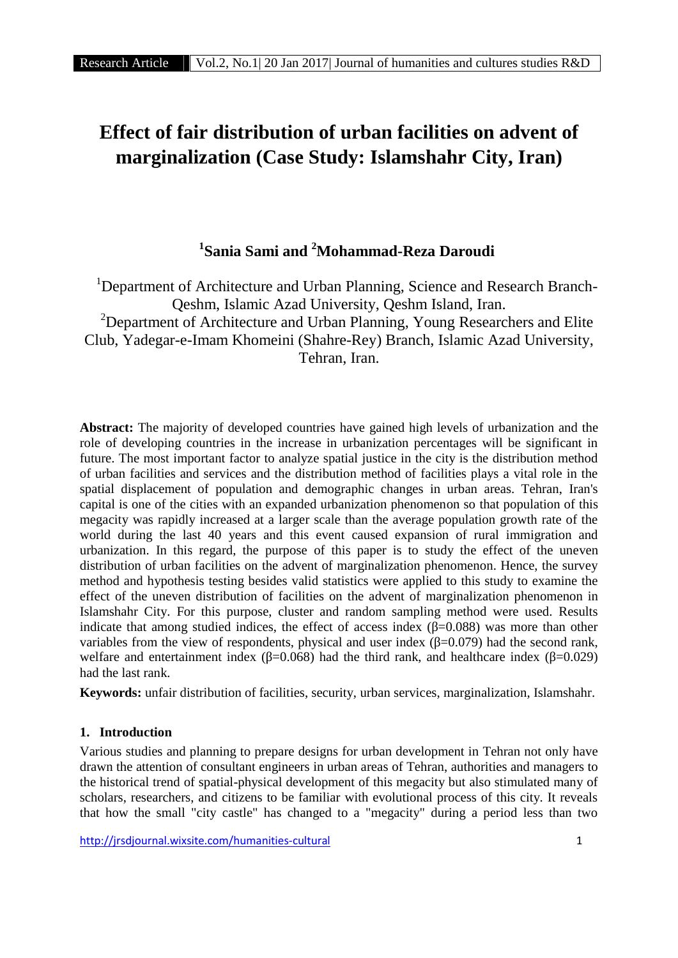# **Effect of fair distribution of urban facilities on advent of marginalization (Case Study: Islamshahr City, Iran)**

# **<sup>1</sup>Sania Sami and <sup>2</sup>Mohammad-Reza Daroudi**

<sup>1</sup>Department of Architecture and Urban Planning, Science and Research Branch-Qeshm, Islamic Azad University, Qeshm Island, Iran.<br><sup>2</sup>Department of Architecture and Urban Planning, Young Researchers and Elite Club, Yadegar-e-Imam Khomeini (Shahre-Rey) Branch, Islamic Azad University, Tehran, Iran.

**Abstract:** The majority of developed countries have gained high levels of urbanization and the role of developing countries in the increase in urbanization percentages will be significant in future. The most important factor to analyze spatial justice in the city is the distribution method of urban facilities and services and the distribution method of facilities plays a vital role in the spatial displacement of population and demographic changes in urban areas. Tehran, Iran's capital is one of the cities with an expanded urbanization phenomenon so that population of this megacity was rapidly increased at a larger scale than the average population growth rate of the world during the last 40 years and this event caused expansion of rural immigration and urbanization. In this regard, the purpose of this paper is to study the effect of the uneven distribution of urban facilities on the advent of marginalization phenomenon. Hence, the survey method and hypothesis testing besides valid statistics were applied to this study to examine the effect of the uneven distribution of facilities on the advent of marginalization phenomenon in Islamshahr City. For this purpose, cluster and random sampling method were used. Results indicate that among studied indices, the effect of access index ( $=0.088$ ) was more than other variables from the view of respondents, physical and user index  $(=0.079)$  had the second rank, welfare and entertainment index ( $=0.068$ ) had the third rank, and healthcare index ( $=0.029$ ) had the last rank.

**Keywords:** unfair distribution of facilities, security, urban services, marginalization, Islamshahr.

#### **1. Introduction**

Various studies and planning to prepare designs for urban development in Tehran not only have drawn the attention of consultant engineers in urban areas of Tehran, authorities and managers to the historical trend of spatial-physical development of this megacity but also stimulated many of scholars, researchers, and citizens to be familiar with evolutional process of this city. It reveals that how the small "city castle" has changed to a "megacity" during a period less than two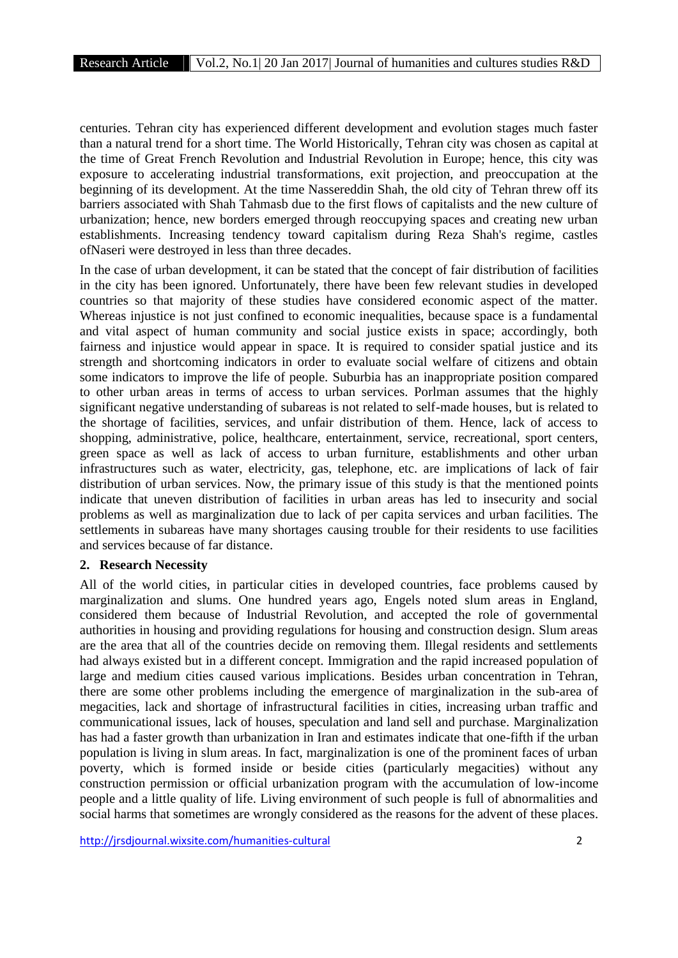centuries. Tehran city has experienced different development and evolution stages much faster than a natural trend for a short time. The World Historically, Tehran city was chosen as capital at the time of Great French Revolution and Industrial Revolution in Europe; hence, this city was exposure to accelerating industrial transformations, exit projection, and preoccupation at the beginning of its development. At the time Nassereddin Shah, the old city of Tehran threw off its barriers associated with Shah Tahmasb due to the first flows of capitalists and the new culture of urbanization; hence, new borders emerged through reoccupying spaces and creating new urban establishments. Increasing tendency toward capitalism during Reza Shah's regime, castles ofNaseri were destroyed in less than three decades.

In the case of urban development, it can be stated that the concept of fair distribution of facilities in the city has been ignored. Unfortunately, there have been few relevant studies in developed countries so that majority of these studies have considered economic aspect of the matter. Whereas injustice is not just confined to economic inequalities, because space is a fundamental and vital aspect of human community and social justice exists in space; accordingly, both fairness and injustice would appear in space. It is required to consider spatial justice and its strength and shortcoming indicators in order to evaluate social welfare of citizens and obtain some indicators to improve the life of people. Suburbia has an inappropriate position compared to other urban areas in terms of access to urban services. Porlman assumes that the highly significant negative understanding of subareas is not related to self-made houses, but is related to the shortage of facilities, services, and unfair distribution of them. Hence, lack of access to shopping, administrative, police, healthcare, entertainment, service, recreational, sport centers, green space as well as lack of access to urban furniture, establishments and other urban infrastructures such as water, electricity, gas, telephone, etc. are implications of lack of fair distribution of urban services. Now, the primary issue of this study is that the mentioned points indicate that uneven distribution of facilities in urban areas has led to insecurity and social problems as well as marginalization due to lack of per capita services and urban facilities. The settlements in subareas have many shortages causing trouble for their residents to use facilities and services because of far distance.

#### **2. Research Necessity**

All of the world cities, in particular cities in developed countries, face problems caused by marginalization and slums. One hundred years ago, Engels noted slum areas in England, considered them because of Industrial Revolution, and accepted the role of governmental authorities in housing and providing regulations for housing and construction design. Slum areas are the area that all of the countries decide on removing them. Illegal residents and settlements had always existed but in a different concept. Immigration and the rapid increased population of large and medium cities caused various implications. Besides urban concentration in Tehran, there are some other problems including the emergence of marginalization in the sub-area of megacities, lack and shortage of infrastructural facilities in cities, increasing urban traffic and communicational issues, lack of houses, speculation and land sell and purchase. Marginalization has had a faster growth than urbanization in Iran and estimates indicate that one-fifth if the urban population is living in slum areas. In fact, marginalization is one of the prominent faces of urban poverty, which is formed inside or beside cities (particularly megacities) without any construction permission or official urbanization program with the accumulation of low-income people and a little quality of life. Living environment of such people is full of abnormalities and social harms that sometimes are wrongly considered as the reasons for the advent of these places.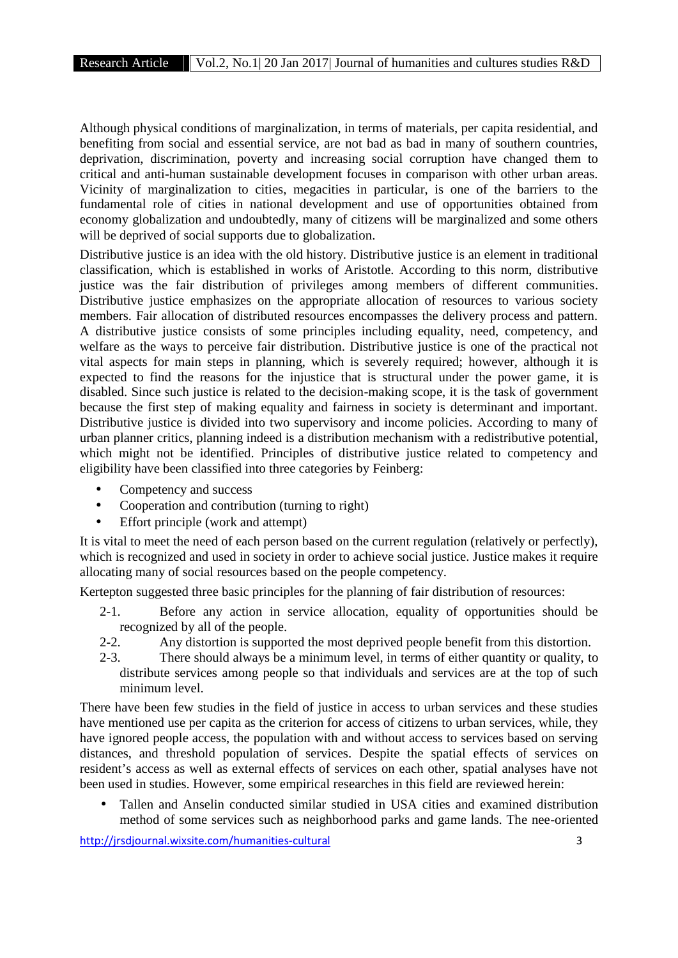Although physical conditions of marginalization, in terms of materials, per capita residential, and benefiting from social and essential service, are not bad as bad in many of southern countries, deprivation, discrimination, poverty and increasing social corruption have changed them to critical and anti-human sustainable development focuses in comparison with other urban areas. Vicinity of marginalization to cities, megacities in particular, is one of the barriers to the fundamental role of cities in national development and use of opportunities obtained from economy globalization and undoubtedly, many of citizens will be marginalized and some others will be deprived of social supports due to globalization.

Distributive justice is an idea with the old history. Distributive justice is an element in traditional classification, which is established in works of Aristotle. According to this norm, distributive justice was the fair distribution of privileges among members of different communities. Distributive justice emphasizes on the appropriate allocation of resources to various society members. Fair allocation of distributed resources encompasses the delivery process and pattern. A distributive justice consists of some principles including equality, need, competency, and welfare as the ways to perceive fair distribution. Distributive justice is one of the practical not vital aspects for main steps in planning, which is severely required; however, although it is expected to find the reasons for the injustice that is structural under the power game, it is disabled. Since such justice is related to the decision-making scope, it is the task of government because the first step of making equality and fairness in society is determinant and important. Distributive justice is divided into two supervisory and income policies. According to many of urban planner critics, planning indeed is a distribution mechanism with a redistributive potential, which might not be identified. Principles of distributive justice related to competency and eligibility have been classified into three categories by Feinberg:

- Competency and success
- Cooperation and contribution (turning to right)
- Effort principle (work and attempt)

It is vital to meet the need of each person based on the current regulation (relatively or perfectly), which is recognized and used in society in order to achieve social justice. Justice makes it require allocating many of social resources based on the people competency.

Kertepton suggested three basic principles for the planning of fair distribution of resources:

- 2-1. Before any action in service allocation, equality of opportunities should be recognized by all of the people.
- 2-2. Any distortion is supported the most deprived people benefit from this distortion.
- 2-3. There should always be a minimum level, in terms of either quantity or quality, to distribute services among people so that individuals and services are at the top of such minimum level.

There have been few studies in the field of justice in access to urban services and these studies have mentioned use per capita as the criterion for access of citizens to urban services, while, they have ignored people access, the population with and without access to services based on serving distances, and threshold population of services. Despite the spatial effects of services on resident's access as well as external effects of services on each other, spatial analyses have not been used in studies. However, some empirical researches in this field are reviewed herein:

 Tallen and Anselin conducted similar studied in USA cities and examined distribution method of some services such as neighborhood parks and game lands. The nee-oriented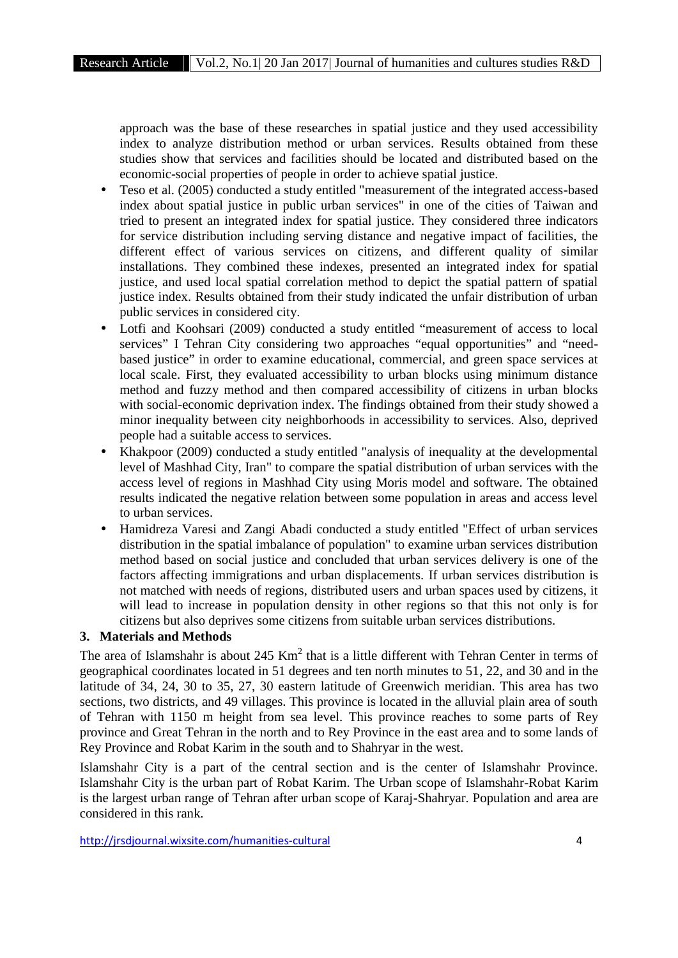approach was the base of these researches in spatial justice and they used accessibility index to analyze distribution method or urban services. Results obtained from these studies show that services and facilities should be located and distributed based on the economic-social properties of people in order to achieve spatial justice.

- Teso et al. (2005) conducted a study entitled "measurement of the integrated access-based index about spatial justice in public urban services" in one of the cities of Taiwan and tried to present an integrated index for spatial justice. They considered three indicators for service distribution including serving distance and negative impact of facilities, the different effect of various services on citizens, and different quality of similar installations. They combined these indexes, presented an integrated index for spatial justice, and used local spatial correlation method to depict the spatial pattern of spatial justice index. Results obtained from their study indicated the unfair distribution of urban public services in considered city.
- Lotfi and Koohsari (2009) conducted a study entitled "measurement of access to local services" I Tehran City considering two approaches "equal opportunities" and "need based justice" in order to examine educational, commercial, and green space services at local scale. First, they evaluated accessibility to urban blocks using minimum distance method and fuzzy method and then compared accessibility of citizens in urban blocks with social-economic deprivation index. The findings obtained from their study showed a minor inequality between city neighborhoods in accessibility to services. Also, deprived people had a suitable access to services.
- Khakpoor (2009) conducted a study entitled "analysis of inequality at the developmental level of Mashhad City, Iran" to compare the spatial distribution of urban services with the access level of regions in Mashhad City using Moris model and software. The obtained results indicated the negative relation between some population in areas and access level to urban services.
- Hamidreza Varesi and Zangi Abadi conducted a study entitled "Effect of urban services distribution in the spatial imbalance of population" to examine urban services distribution method based on social justice and concluded that urban services delivery is one of the factors affecting immigrations and urban displacements. If urban services distribution is not matched with needs of regions, distributed users and urban spaces used by citizens, it will lead to increase in population density in other regions so that this not only is for citizens but also deprives some citizens from suitable urban services distributions.

# **3. Materials and Methods**

The area of Islamshahr is about  $245 \text{ Km}^2$  that is a little different with Tehran Center in terms of geographical coordinates located in 51 degrees and ten north minutes to 51, 22, and 30 and in the latitude of 34, 24, 30 to 35, 27, 30 eastern latitude of Greenwich meridian. This area has two sections, two districts, and 49 villages. This province is located in the alluvial plain area of south of Tehran with 1150 m height from sea level. This province reaches to some parts of Rey province and Great Tehran in the north and to Rey Province in the east area and to some lands of Rey Province and Robat Karim in the south and to Shahryar in the west.

Islamshahr City is a part of the central section and is the center of Islamshahr Province. Islamshahr City is the urban part of Robat Karim. The Urban scope of Islamshahr-Robat Karim is the largest urban range of Tehran after urban scope of Karaj-Shahryar. Population and area are considered in this rank.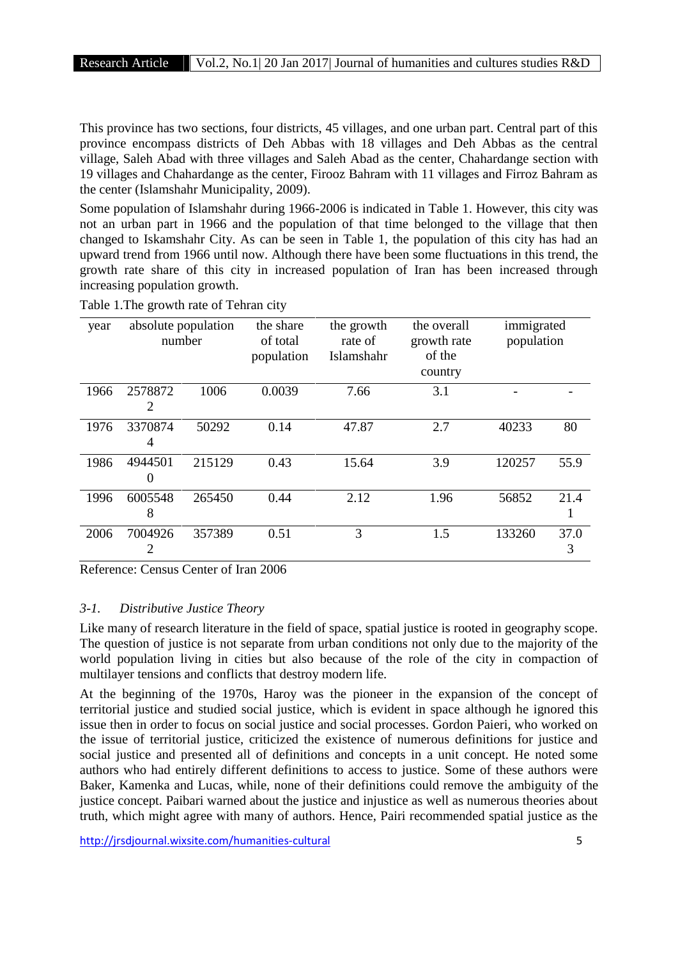This province has two sections, four districts, 45 villages, and one urban part. Central part of this province encompass districts of Deh Abbas with 18 villages and Deh Abbas as the central village, Saleh Abad with three villages and Saleh Abad as the center, Chahardange section with 19 villages and Chahardange as the center, Firooz Bahram with 11 villages and Firroz Bahram as the center (Islamshahr Municipality, 2009).

Some population of Islamshahr during 1966-2006 is indicated in Table 1. However, this city was not an urban part in 1966 and the population of that time belonged to the village that then changed to Iskamshahr City. As can be seen in Table 1, the population of this city has had an upward trend from 1966 until now. Although there have been some fluctuations in this trend, the growth rate share of this city in increased population of Iran has been increased through increasing population growth.

| year | absolute population<br>number |        | the share<br>of total<br>population | the growth<br>rate of<br>Islamshahr | the overall<br>growth rate<br>of the<br>country | immigrated<br>population |           |
|------|-------------------------------|--------|-------------------------------------|-------------------------------------|-------------------------------------------------|--------------------------|-----------|
| 1966 | 2578872<br>2                  | 1006   | 0.0039                              | 7.66                                | 3.1                                             |                          |           |
| 1976 | 3370874<br>4                  | 50292  | 0.14                                | 47.87                               | 2.7                                             | 40233                    | 80        |
| 1986 | 4944501<br>$\theta$           | 215129 | 0.43                                | 15.64                               | 3.9                                             | 120257                   | 55.9      |
| 1996 | 6005548<br>8                  | 265450 | 0.44                                | 2.12                                | 1.96                                            | 56852                    | 21.4<br>1 |
| 2006 | 7004926<br>2                  | 357389 | 0.51                                | 3                                   | 1.5                                             | 133260                   | 37.0<br>3 |

Table 1.The growth rate of Tehran city

Reference: Census Center of Iran 2006

#### *3-1. Distributive Justice Theory*

Like many of research literature in the field of space, spatial justice is rooted in geography scope. The question of justice is not separate from urban conditions not only due to the majority of the world population living in cities but also because of the role of the city in compaction of multilayer tensions and conflicts that destroy modern life.

At the beginning of the 1970s, Haroy was the pioneer in the expansion of the concept of territorial justice and studied social justice, which is evident in space although he ignored this issue then in order to focus on social justice and social processes. Gordon Paieri, who worked on the issue of territorial justice, criticized the existence of numerous definitions for justice and social justice and presented all of definitions and concepts in a unit concept. He noted some authors who had entirely different definitions to access to justice. Some of these authors were Baker, Kamenka and Lucas, while, none of their definitions could remove the ambiguity of the justice concept. Paibari warned about the justice and injustice as well as numerous theories about truth, which might agree with many of authors. Hence, Pairi recommended spatial justice as the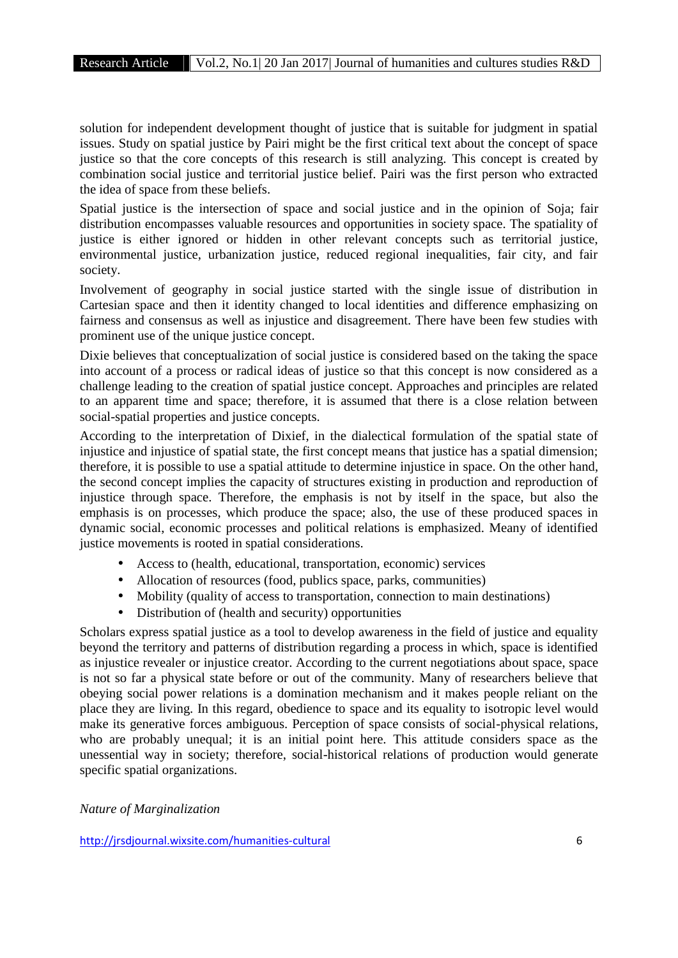solution for independent development thought of justice that is suitable for judgment in spatial issues. Study on spatial justice by Pairi might be the first critical text about the concept of space justice so that the core concepts of this research is still analyzing. This concept is created by combination social justice and territorial justice belief. Pairi was the first person who extracted the idea of space from these beliefs.

Spatial justice is the intersection of space and social justice and in the opinion of Soja; fair distribution encompasses valuable resources and opportunities in society space. The spatiality of justice is either ignored or hidden in other relevant concepts such as territorial justice, environmental justice, urbanization justice, reduced regional inequalities, fair city, and fair society.

Involvement of geography in social justice started with the single issue of distribution in Cartesian space and then it identity changed to local identities and difference emphasizing on fairness and consensus as well as injustice and disagreement. There have been few studies with prominent use of the unique justice concept.

Dixie believes that conceptualization of social justice is considered based on the taking the space into account of a process or radical ideas of justice so that this concept is now considered as a challenge leading to the creation of spatial justice concept. Approaches and principles are related to an apparent time and space; therefore, it is assumed that there is a close relation between social-spatial properties and justice concepts.

According to the interpretation of Dixief, in the dialectical formulation of the spatial state of injustice and injustice of spatial state, the first concept means that justice has a spatial dimension; therefore, it is possible to use a spatial attitude to determine injustice in space. On the other hand, the second concept implies the capacity of structures existing in production and reproduction of injustice through space. Therefore, the emphasis is not by itself in the space, but also the emphasis is on processes, which produce the space; also, the use of these produced spaces in dynamic social, economic processes and political relations is emphasized. Meany of identified justice movements is rooted in spatial considerations.

- Access to (health, educational, transportation, economic) services
- Allocation of resources (food, publics space, parks, communities)
- Mobility (quality of access to transportation, connection to main destinations)
- Distribution of (health and security) opportunities

Scholars express spatial justice as a tool to develop awareness in the field of justice and equality beyond the territory and patterns of distribution regarding a process in which, space is identified as injustice revealer or injustice creator. According to the current negotiations about space, space is not so far a physical state before or out of the community. Many of researchers believe that obeying social power relations is a domination mechanism and it makes people reliant on the place they are living. In this regard, obedience to space and its equality to isotropic level would make its generative forces ambiguous. Perception of space consists of social-physical relations, who are probably unequal; it is an initial point here. This attitude considers space as the unessential way in society; therefore, social-historical relations of production would generate specific spatial organizations.

*Nature of Marginalization*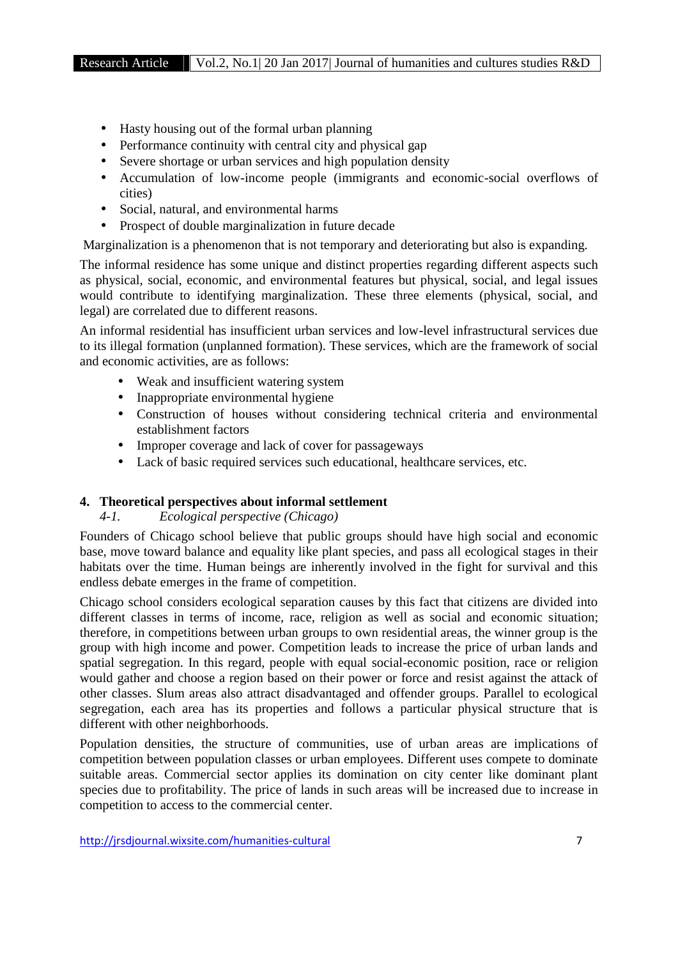- Hasty housing out of the formal urban planning
- Performance continuity with central city and physical gap
- Severe shortage or urban services and high population density
- Accumulation of low-income people (immigrants and economic-social overflows of cities)
- Social, natural, and environmental harms
- Prospect of double marginalization in future decade

Marginalization is a phenomenon that is not temporary and deteriorating but also is expanding.

The informal residence has some unique and distinct properties regarding different aspects such as physical, social, economic, and environmental features but physical, social, and legal issues would contribute to identifying marginalization. These three elements (physical, social, and legal) are correlated due to different reasons.

An informal residential has insufficient urban services and low-level infrastructural services due to its illegal formation (unplanned formation). These services, which are the framework of social and economic activities, are as follows:

- Weak and insufficient watering system
- Inappropriate environmental hygiene
- Construction of houses without considering technical criteria and environmental establishment factors
- Improper coverage and lack of cover for passageways
- Lack of basic required services such educational, healthcare services, etc.

# **4. Theoretical perspectives about informal settlement**

# *4-1. Ecological perspective (Chicago)*

Founders of Chicago school believe that public groups should have high social and economic base, move toward balance and equality like plant species, and pass all ecological stages in their habitats over the time. Human beings are inherently involved in the fight for survival and this endless debate emerges in the frame of competition.

Chicago school considers ecological separation causes by this fact that citizens are divided into different classes in terms of income, race, religion as well as social and economic situation; therefore, in competitions between urban groups to own residential areas, the winner group is the group with high income and power. Competition leads to increase the price of urban lands and spatial segregation. In this regard, people with equal social-economic position, race or religion would gather and choose a region based on their power or force and resist against the attack of other classes. Slum areas also attract disadvantaged and offender groups. Parallel to ecological segregation, each area has its properties and follows a particular physical structure that is different with other neighborhoods.

Population densities, the structure of communities, use of urban areas are implications of competition between population classes or urban employees. Different uses compete to dominate suitable areas. Commercial sector applies its domination on city center like dominant plant species due to profitability. The price of lands in such areas will be increased due to increase in competition to access to the commercial center.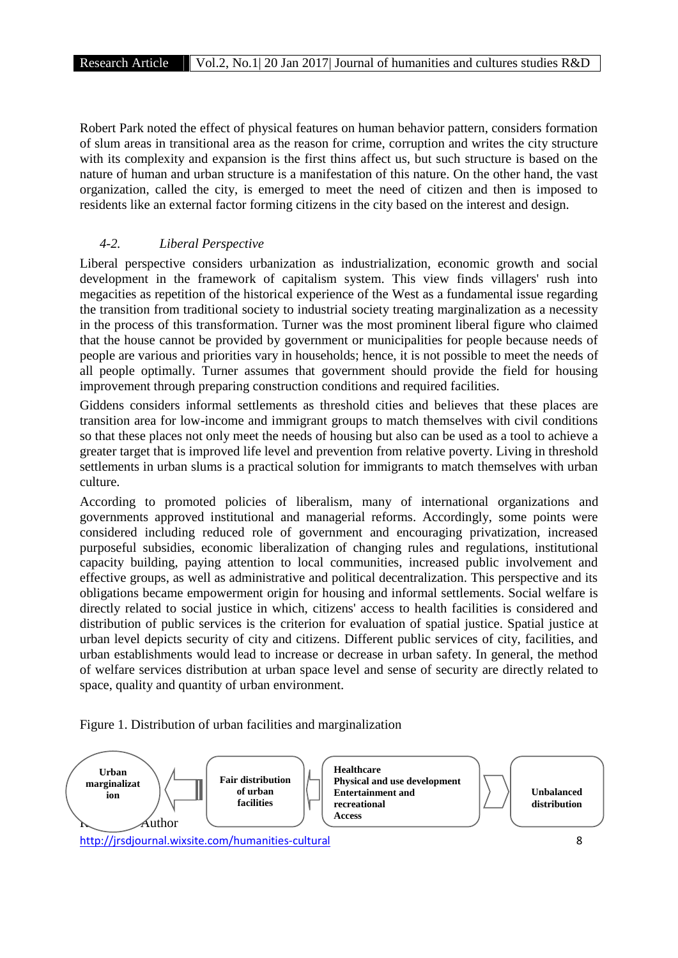Robert Park noted the effect of physical features on human behavior pattern, considers formation of slum areas in transitional area as the reason for crime, corruption and writes the city structure with its complexity and expansion is the first thins affect us, but such structure is based on the nature of human and urban structure is a manifestation of this nature. On the other hand, the vast organization, called the city, is emerged to meet the need of citizen and then is imposed to residents like an external factor forming citizens in the city based on the interest and design.

# *4-2. Liberal Perspective*

Liberal perspective considers urbanization as industrialization, economic growth and social development in the framework of capitalism system. This view finds villagers' rush into megacities as repetition of the historical experience of the West as a fundamental issue regarding the transition from traditional society to industrial society treating marginalization as a necessity in the process of this transformation. Turner was the most prominent liberal figure who claimed that the house cannot be provided by government or municipalities for people because needs of people are various and priorities vary in households; hence, it is not possible to meet the needs of all people optimally. Turner assumes that government should provide the field for housing improvement through preparing construction conditions and required facilities.

Giddens considers informal settlements as threshold cities and believes that these places are transition area for low-income and immigrant groups to match themselves with civil conditions so that these places not only meet the needs of housing but also can be used as a tool to achieve a greater target that is improved life level and prevention from relative poverty. Living in threshold settlements in urban slums is a practical solution for immigrants to match themselves with urban culture.

According to promoted policies of liberalism, many of international organizations and governments approved institutional and managerial reforms. Accordingly, some points were considered including reduced role of government and encouraging privatization, increased purposeful subsidies, economic liberalization of changing rules and regulations, institutional capacity building, paying attention to local communities, increased public involvement and effective groups, as well as administrative and political decentralization. This perspective and its obligations became empowerment origin for housing and informal settlements. Social welfare is directly related to social justice in which, citizens' access to health facilities is considered and distribution of public services is the criterion for evaluation of spatial justice. Spatial justice at urban level depicts security of city and citizens. Different public services of city, facilities, and urban establishments would lead to increase or decrease in urban safety. In general, the method of welfare services distribution at urban space level and sense of security are directly related to space, quality and quantity of urban environment.



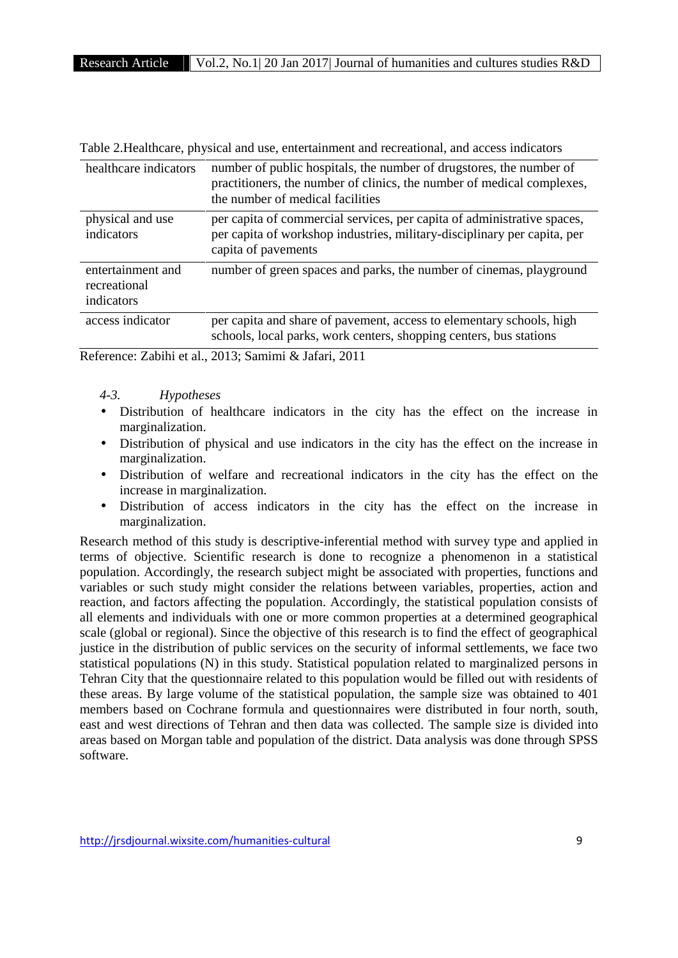| healthcare indicators                           | number of public hospitals, the number of drugstores, the number of<br>practitioners, the number of clinics, the number of medical complexes,<br>the number of medical facilities |
|-------------------------------------------------|-----------------------------------------------------------------------------------------------------------------------------------------------------------------------------------|
| physical and use<br>indicators                  | per capita of commercial services, per capita of administrative spaces,<br>per capita of workshop industries, military-disciplinary per capita, per<br>capita of pavements        |
| entertainment and<br>recreational<br>indicators | number of green spaces and parks, the number of cinemas, playground                                                                                                               |
| access indicator                                | per capita and share of pavement, access to elementary schools, high<br>schools, local parks, work centers, shopping centers, bus stations                                        |

Table 2.Healthcare, physical and use, entertainment and recreational, and access indicators

Reference: Zabihi et al., 2013; Samimi & Jafari, 2011

# *4-3. Hypotheses*

- Distribution of healthcare indicators in the city has the effect on the increase in marginalization.
- Distribution of physical and use indicators in the city has the effect on the increase in marginalization.
- Distribution of welfare and recreational indicators in the city has the effect on the increase in marginalization.
- Distribution of access indicators in the city has the effect on the increase in marginalization.

Research method of this study is descriptive-inferential method with survey type and applied in terms of objective. Scientific research is done to recognize a phenomenon in a statistical population. Accordingly, the research subject might be associated with properties, functions and variables or such study might consider the relations between variables, properties, action and reaction, and factors affecting the population. Accordingly, the statistical population consists of all elements and individuals with one or more common properties at a determined geographical scale (global or regional). Since the objective of this research is to find the effect of geographical justice in the distribution of public services on the security of informal settlements, we face two statistical populations (N) in this study. Statistical population related to marginalized persons in Tehran City that the questionnaire related to this population would be filled out with residents of these areas. By large volume of the statistical population, the sample size was obtained to 401 members based on Cochrane formula and questionnaires were distributed in four north, south, east and west directions of Tehran and then data was collected. The sample size is divided into areas based on Morgan table and population of the district. Data analysis was done through SPSS software.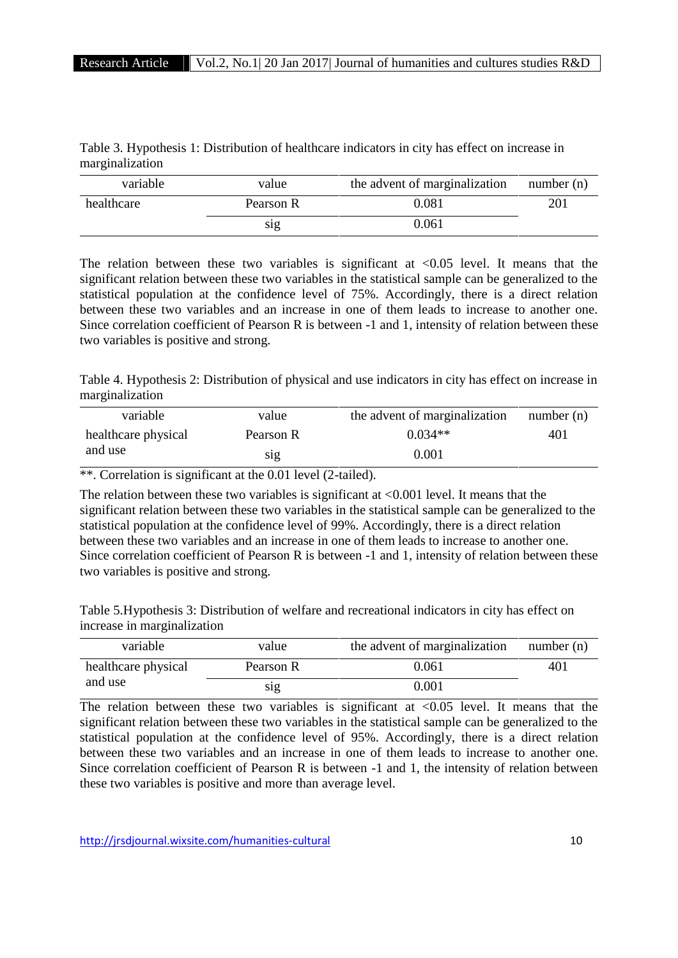| Table 3. Hypothesis 1: Distribution of healthcare indicators in city has effect on increase in |  |
|------------------------------------------------------------------------------------------------|--|
| marginalization                                                                                |  |

| variable   | value     | the advent of marginalization | number $(n)$ |
|------------|-----------|-------------------------------|--------------|
| healthcare | Pearson R | 0.081                         | 201          |
|            | S1g       | 0.061                         |              |

The relation between these two variables is significant at  $\langle 0.05 \rangle$  level. It means that the significant relation between these two variables in the statistical sample can be generalized to the statistical population at the confidence level of 75%. Accordingly, there is a direct relation between these two variables and an increase in one of them leads to increase to another one. Since correlation coefficient of Pearson R is between -1 and 1, intensity of relation between these two variables is positive and strong.

Table 4. Hypothesis 2: Distribution of physical and use indicators in city has effect on increase in marginalization

| variable            | value     | the advent of marginalization | number (n) |
|---------------------|-----------|-------------------------------|------------|
| healthcare physical | Pearson R | $0.034**$                     | 401        |
| and use             | S1g       | 0.001                         |            |

\*\*. Correlation is significant at the 0.01 level (2-tailed).

The relation between these two variables is significant at <0.001 level. It means that the significant relation between these two variables in the statistical sample can be generalized to the statistical population at the confidence level of 99%. Accordingly, there is a direct relation between these two variables and an increase in one of them leads to increase to another one. Since correlation coefficient of Pearson R is between -1 and 1, intensity of relation between these two variables is positive and strong.

Table 5.Hypothesis 3: Distribution of welfare and recreational indicators in city has effect on increase in marginalization

| variable            | value     | the advent of marginalization | number $(n)$ |
|---------------------|-----------|-------------------------------|--------------|
| healthcare physical | Pearson R | 0.061                         | 401          |
| and use             | S1g       | 0.001                         |              |

The relation between these two variables is significant at  $< 0.05$  level. It means that the significant relation between these two variables in the statistical sample can be generalized to the statistical population at the confidence level of 95%. Accordingly, there is a direct relation between these two variables and an increase in one of them leads to increase to another one. Since correlation coefficient of Pearson R is between -1 and 1, the intensity of relation between these two variables is positive and more than average level.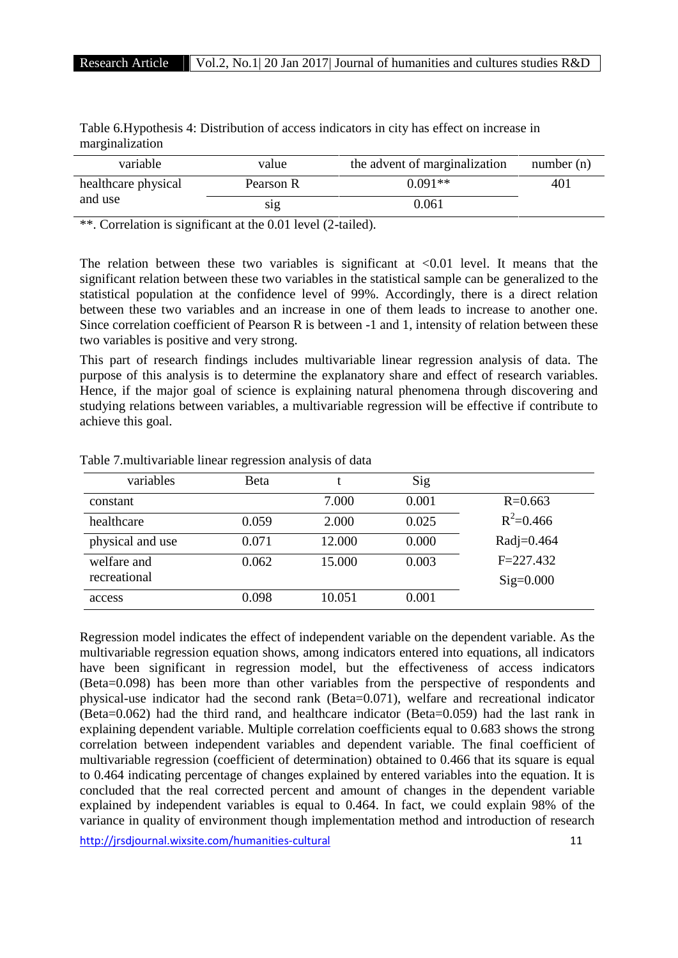| Table 6. Hypothesis 4: Distribution of access indicators in city has effect on increase in |  |
|--------------------------------------------------------------------------------------------|--|

marginalization

| variable            | value            | the advent of marginalization | number $(n)$ |
|---------------------|------------------|-------------------------------|--------------|
| healthcare physical | Pearson R        | $0.091**$                     | 401          |
| and use             | S <sub>1</sub> g | 0.061                         |              |

\*\*. Correlation is significant at the 0.01 level (2-tailed).

The relation between these two variables is significant at  $\langle 0.01 \rangle$  level. It means that the significant relation between these two variables in the statistical sample can be generalized to the statistical population at the confidence level of 99%. Accordingly, there is a direct relation between these two variables and an increase in one of them leads to increase to another one. Since correlation coefficient of Pearson R is between -1 and 1, intensity of relation between these two variables is positive and very strong.

This part of research findings includes multivariable linear regression analysis of data. The purpose of this analysis is to determine the explanatory share and effect of research variables. Hence, if the major goal of science is explaining natural phenomena through discovering and studying relations between variables, a multivariable regression will be effective if contribute to achieve this goal.

| variables        | Beta  |        | Sig   |               |
|------------------|-------|--------|-------|---------------|
| constant         |       | 7.000  | 0.001 | $R = 0.663$   |
| healthcare       | 0.059 | 2.000  | 0.025 | $R^2 = 0.466$ |
| physical and use | 0.071 | 12.000 | 0.000 | Radj=0.464    |
| welfare and      | 0.062 | 15.000 | 0.003 | $F = 227.432$ |
| recreational     |       |        |       | $Sig=0.000$   |
| access           | 0.098 | 10.051 | 0.001 |               |

Table 7.multivariable linear regression analysis of data

Regression model indicates the effect of independent variable on the dependent variable. As the multivariable regression equation shows, among indicators entered into equations, all indicators have been significant in regression model, but the effectiveness of access indicators (Beta=0.098) has been more than other variables from the perspective of respondents and physical-use indicator had the second rank (Beta=0.071), welfare and recreational indicator (Beta=0.062) had the third rand, and healthcare indicator (Beta=0.059) had the last rank in explaining dependent variable. Multiple correlation coefficients equal to 0.683 shows the strong correlation between independent variables and dependent variable. The final coefficient of multivariable regression (coefficient of determination) obtained to 0.466 that its square is equal to 0.464 indicating percentage of changes explained by entered variables into the equation. It is concluded that the real corrected percent and amount of changes in the dependent variable explained by independent variables is equal to 0.464. In fact, we could explain 98% of the variance in quality of environment though implementation method and introduction of research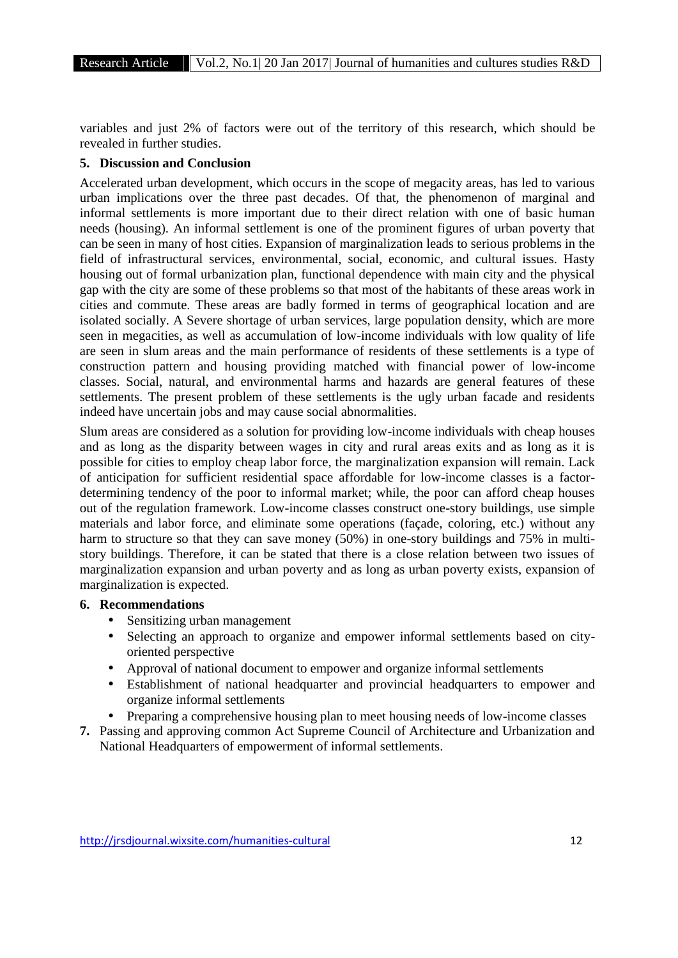variables and just 2% of factors were out of the territory of this research, which should be revealed in further studies.

#### **5. Discussion and Conclusion**

Accelerated urban development, which occurs in the scope of megacity areas, has led to various urban implications over the three past decades. Of that, the phenomenon of marginal and informal settlements is more important due to their direct relation with one of basic human needs (housing). An informal settlement is one of the prominent figures of urban poverty that can be seen in many of host cities. Expansion of marginalization leads to serious problems in the field of infrastructural services, environmental, social, economic, and cultural issues. Hasty housing out of formal urbanization plan, functional dependence with main city and the physical gap with the city are some of these problems so that most of the habitants of these areas work in cities and commute. These areas are badly formed in terms of geographical location and are isolated socially. A Severe shortage of urban services, large population density, which are more seen in megacities, as well as accumulation of low-income individuals with low quality of life are seen in slum areas and the main performance of residents of these settlements is a type of construction pattern and housing providing matched with financial power of low-income classes. Social, natural, and environmental harms and hazards are general features of these settlements. The present problem of these settlements is the ugly urban facade and residents indeed have uncertain jobs and may cause social abnormalities.

Slum areas are considered as a solution for providing low-income individuals with cheap houses and as long as the disparity between wages in city and rural areas exits and as long as it is possible for cities to employ cheap labor force, the marginalization expansion will remain. Lack of anticipation for sufficient residential space affordable for low-income classes is a factor determining tendency of the poor to informal market; while, the poor can afford cheap houses out of the regulation framework. Low-income classes construct one-story buildings, use simple materials and labor force, and eliminate some operations (façade, coloring, etc.) without any harm to structure so that they can save money (50%) in one-story buildings and 75% in multi story buildings. Therefore, it can be stated that there is a close relation between two issues of marginalization expansion and urban poverty and as long as urban poverty exists, expansion of marginalization is expected.

#### **6. Recommendations**

- Sensitizing urban management
- Selecting an approach to organize and empower informal settlements based on city oriented perspective
- Approval of national document to empower and organize informal settlements
- Establishment of national headquarter and provincial headquarters to empower and organize informal settlements
- Preparing a comprehensive housing plan to meet housing needs of low-income classes
- **7.** Passing and approving common Act Supreme Council of Architecture and Urbanization and National Headquarters of empowerment of informal settlements.